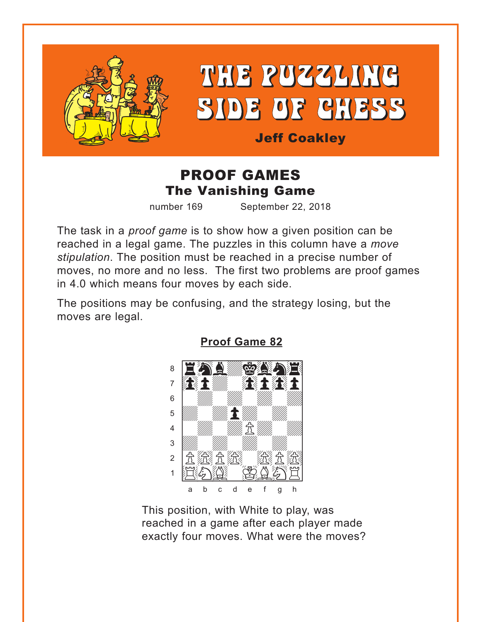<span id="page-0-0"></span>

# THE PUZZLING SIDE OF CHESS

**Jeff Coakley** 

### **PROOF GAMES The Vanishing Game**

number 169

September 22, 2018

The task in a *proof game* is to show how a given position can be reached in a legal game. The puzzles in this column have a move stipulation. The position must be reached in a precise number of moves, no more and no less. The first two problems are proof games in 4.0 which means four moves by each side.

The positions may be confusing, and the strategy losing, but the moves are legal.



**Proof Game 82** 

This position, with White to play, was reached in a game after each player made exactly four moves. What were the moves?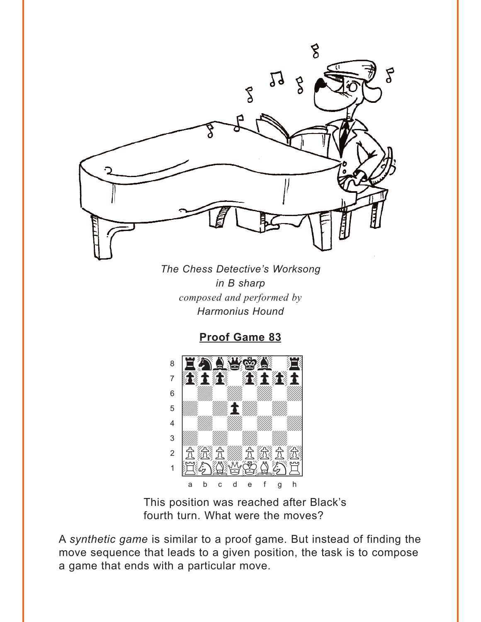<span id="page-1-0"></span>

The Chess Detective's Worksong in B sharp composed and performed by **Harmonius Hound** 

**Proof Game 83** 



This position was reached after Black's fourth turn. What were the moves?

A synthetic game is similar to a proof game. But instead of finding the move sequence that leads to a given position, the task is to compose a game that ends with a particular move.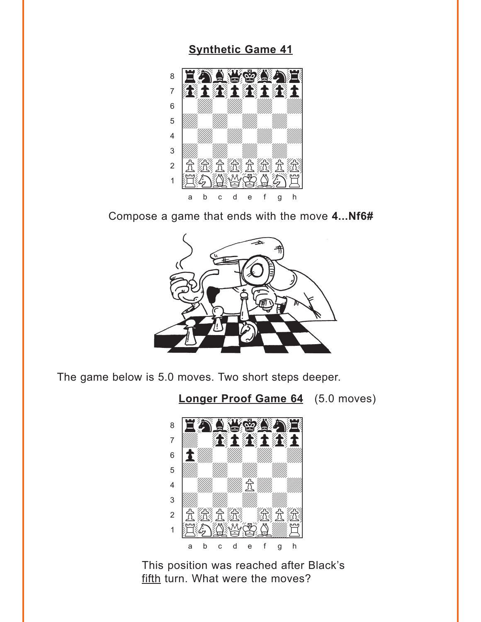#### **[Synthetic Game 41](#page-5-0)**

<span id="page-2-0"></span>

Compose a game that ends with the move **4...Nf6#**



The game below is 5.0 moves. Two short steps deeper.

**[Longer Proof Game 64](#page-6-0)** (5.0 moves)



This position was reached after Black's fifth turn. What were the moves?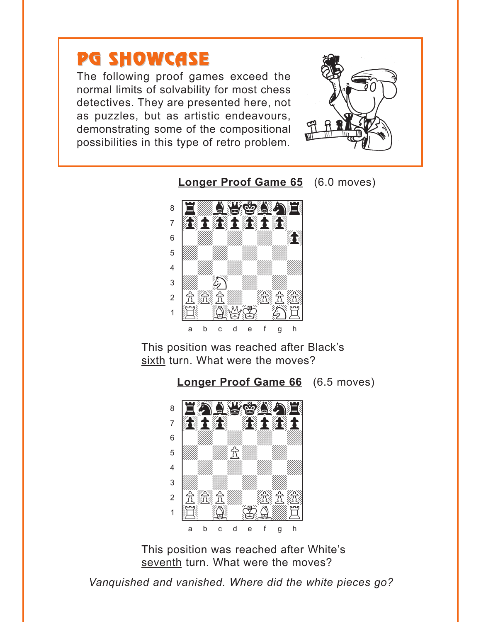# <span id="page-3-0"></span>**PG SHOWCASE**

The following proof games exceed the normal limits of solvability for most chess detectives. They are presented here, not as puzzles, but as artistic endeavours, demonstrating some of the compositional possibilities in this type of retro problem.



**Longer Proof Game 65** (6.0 moves)



This position was reached after Black's sixth turn. What were the moves?



This position was reached after White's seventh turn. What were the moves?

Vanquished and vanished. Where did the white pieces go?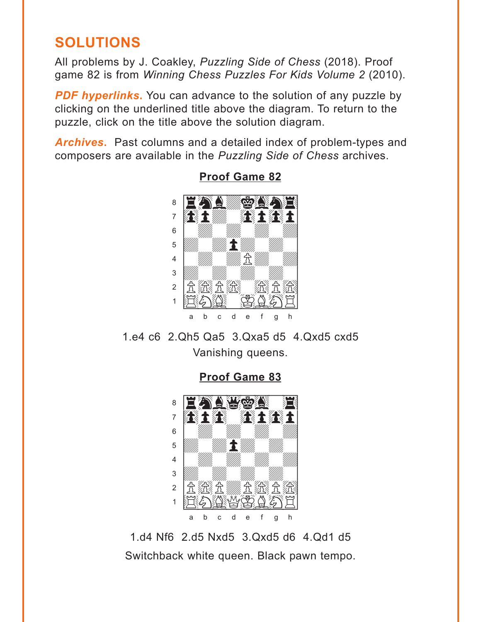## <span id="page-4-0"></span>**SOLUTIONS**

All problems by J. Coakley, *Puzzling Side of Chess* (2018). Proof game 82 is from *Winning Chess Puzzles For Kids Volume 2* (2010).

**PDF hyperlinks.** You can advance to the solution of any puzzle by clicking on the underlined title above the diagram. To return to the puzzle, click on the title above the solution diagram.

*Archives***.** Past columns and a detailed index of problem-types and composers are available in the *Puzzling Side of Chess* archives.



**[Proof Game 82](#page-0-0)**

1.e4 c6 2.Qh5 Qa5 3.Qxa5 d5 4.Qxd5 cxd5 Vanishing queens.

**[Proof Game 83](#page-1-0)**



1.d4 Nf6 2.d5 Nxd5 3.Qxd5 d6 4.Qd1 d5 Switchback white queen. Black pawn tempo.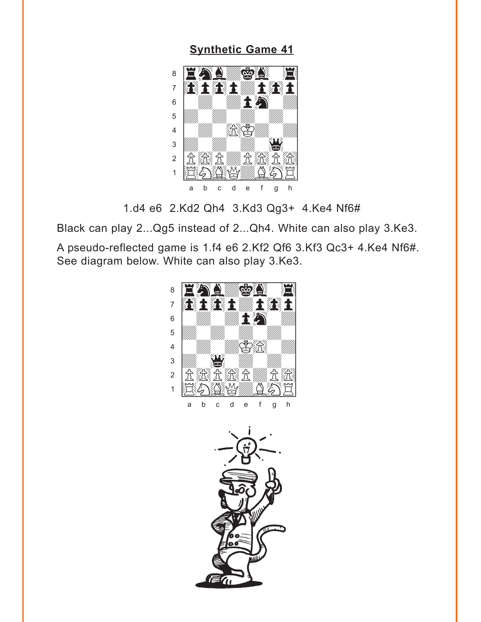<span id="page-5-0"></span>**[Synthetic Game 41](#page-2-0)**



1.d4 e6 2.Kd2 Qh4 3.Kd3 Qg3+ 4.Ke4 Nf6#

Black can play 2...Qg5 instead of 2...Qh4. White can also play 3.Ke3.

A pseudo-reflected game is 1.f4 e6 2.Kf2 Qf6 3.Kf3 Qc3+ 4.Ke4 Nf6#. See diagram below. White can also play 3.Ke3.



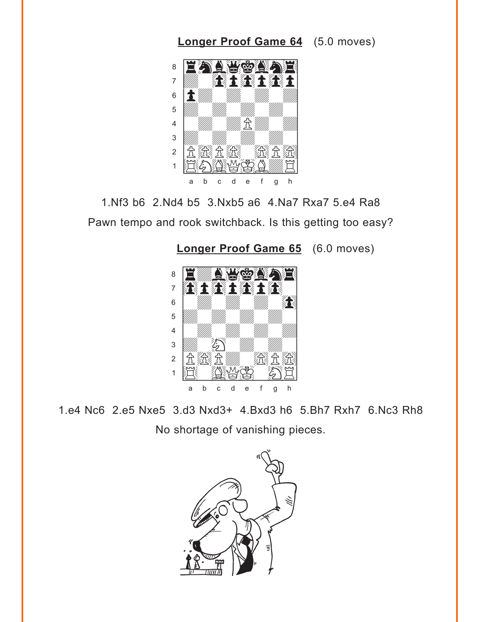<span id="page-6-0"></span>

1.Nf3 b6 2.Nd4 b5 3.Nxb5 a6 4.Na7 Rxa7 5.e4 Ra8 Pawn tempo and rook switchback. Is this getting too easy?

**[Longer Proof Game 65](#page-3-0)** (6.0 moves)



1.e4 Nc6 2.e5 Nxe5 3.d3 Nxd3+ 4.Bxd3 h6 5.Bh7 Rxh7 6.Nc3 Rh8 No shortage of vanishing pieces.